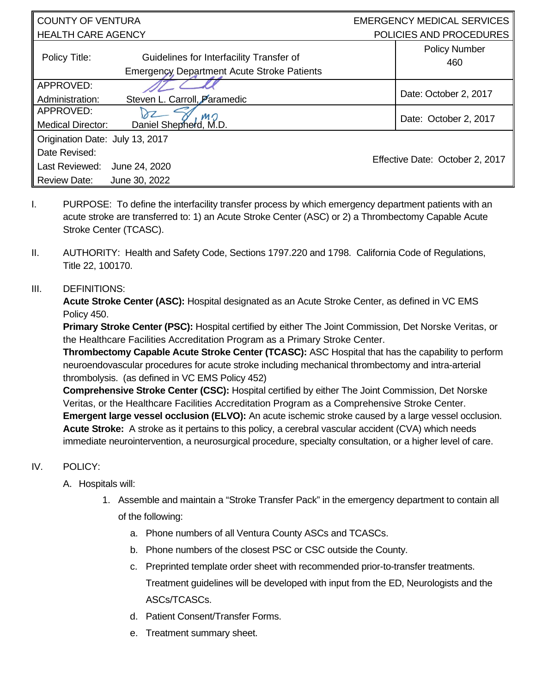| <b>COUNTY OF VENTURA</b>              |                                                                                         | <b>EMERGENCY MEDICAL SERVICES</b> |                                 |  |
|---------------------------------------|-----------------------------------------------------------------------------------------|-----------------------------------|---------------------------------|--|
| <b>HEALTH CARE AGENCY</b>             |                                                                                         | POLICIES AND PROCEDURES           |                                 |  |
| Policy Title:                         | Guidelines for Interfacility Transfer of<br>Emergency, Department Acute Stroke Patients |                                   | <b>Policy Number</b><br>460     |  |
| APPROVED:<br>Administration:          | Steven L. Carroll, Paramedic                                                            |                                   | Date: October 2, 2017           |  |
| APPROVED:<br><b>Medical Director:</b> | MO<br>Daniel Shepherd, M.D.                                                             |                                   | Date: October 2, 2017           |  |
| Origination Date: July 13, 2017       |                                                                                         |                                   |                                 |  |
| Date Revised:                         |                                                                                         |                                   |                                 |  |
| Last Reviewed:                        | June 24, 2020                                                                           |                                   | Effective Date: October 2, 2017 |  |
| <b>Review Date:</b>                   | June 30, 2022                                                                           |                                   |                                 |  |

- I. PURPOSE: To define the interfacility transfer process by which emergency department patients with an acute stroke are transferred to: 1) an Acute Stroke Center (ASC) or 2) a Thrombectomy Capable Acute Stroke Center (TCASC).
- II. AUTHORITY: Health and Safety Code, Sections 1797.220 and 1798. California Code of Regulations, Title 22, 100170.

## III. DEFINITIONS:

**Acute Stroke Center (ASC):** Hospital designated as an Acute Stroke Center, as defined in VC EMS Policy 450.

**Primary Stroke Center (PSC):** Hospital certified by either The Joint Commission, Det Norske Veritas, or the Healthcare Facilities Accreditation Program as a Primary Stroke Center.

**Thrombectomy Capable Acute Stroke Center (TCASC):** ASC Hospital that has the capability to perform neuroendovascular procedures for acute stroke including mechanical thrombectomy and intra-arterial thrombolysis. (as defined in VC EMS Policy 452)

**Comprehensive Stroke Center (CSC):** Hospital certified by either The Joint Commission, Det Norske Veritas, or the Healthcare Facilities Accreditation Program as a Comprehensive Stroke Center. **Emergent large vessel occlusion (ELVO):** An acute ischemic stroke caused by a large vessel occlusion. **Acute Stroke:** A stroke as it pertains to this policy, a cerebral vascular accident (CVA) which needs immediate neurointervention, a neurosurgical procedure, specialty consultation, or a higher level of care.

## IV. POLICY:

- A. Hospitals will:
	- 1. Assemble and maintain a "Stroke Transfer Pack" in the emergency department to contain all of the following:
		- a. Phone numbers of all Ventura County ASCs and TCASCs.
		- b. Phone numbers of the closest PSC or CSC outside the County.
		- c. Preprinted template order sheet with recommended prior-to-transfer treatments. Treatment guidelines will be developed with input from the ED, Neurologists and the ASCs/TCASCs.
		- d. Patient Consent/Transfer Forms.
		- e. Treatment summary sheet.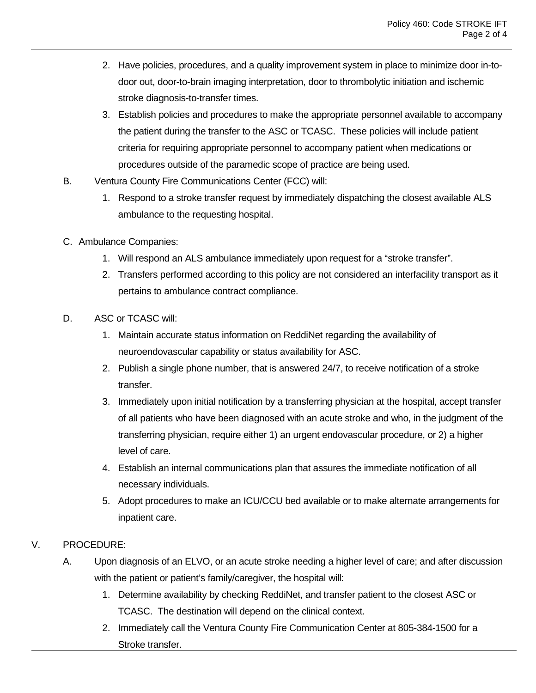- 2. Have policies, procedures, and a quality improvement system in place to minimize door in-todoor out, door-to-brain imaging interpretation, door to thrombolytic initiation and ischemic stroke diagnosis-to-transfer times.
- 3. Establish policies and procedures to make the appropriate personnel available to accompany the patient during the transfer to the ASC or TCASC. These policies will include patient criteria for requiring appropriate personnel to accompany patient when medications or procedures outside of the paramedic scope of practice are being used.
- B. Ventura County Fire Communications Center (FCC) will:
	- 1. Respond to a stroke transfer request by immediately dispatching the closest available ALS ambulance to the requesting hospital.
- C. Ambulance Companies:
	- 1. Will respond an ALS ambulance immediately upon request for a "stroke transfer".
	- 2. Transfers performed according to this policy are not considered an interfacility transport as it pertains to ambulance contract compliance.
- D. ASC or TCASC will:
	- 1. Maintain accurate status information on ReddiNet regarding the availability of neuroendovascular capability or status availability for ASC.
	- 2. Publish a single phone number, that is answered 24/7, to receive notification of a stroke transfer.
	- 3. Immediately upon initial notification by a transferring physician at the hospital, accept transfer of all patients who have been diagnosed with an acute stroke and who, in the judgment of the transferring physician, require either 1) an urgent endovascular procedure, or 2) a higher level of care.
	- 4. Establish an internal communications plan that assures the immediate notification of all necessary individuals.
	- 5. Adopt procedures to make an ICU/CCU bed available or to make alternate arrangements for inpatient care.

## V. PROCEDURE:

- A. Upon diagnosis of an ELVO, or an acute stroke needing a higher level of care; and after discussion with the patient or patient's family/caregiver, the hospital will:
	- 1. Determine availability by checking ReddiNet, and transfer patient to the closest ASC or TCASC. The destination will depend on the clinical context.
	- 2. Immediately call the Ventura County Fire Communication Center at 805-384-1500 for a Stroke transfer.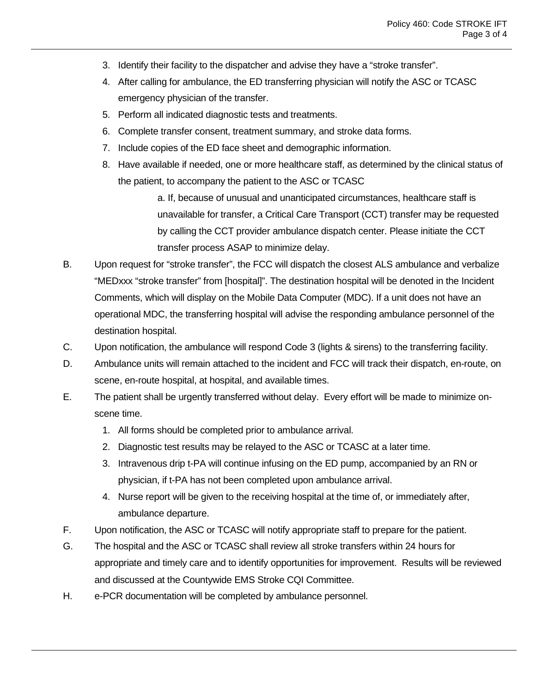- 3. Identify their facility to the dispatcher and advise they have a "stroke transfer".
- 4. After calling for ambulance, the ED transferring physician will notify the ASC or TCASC emergency physician of the transfer.
- 5. Perform all indicated diagnostic tests and treatments.
- 6. Complete transfer consent, treatment summary, and stroke data forms.
- 7. Include copies of the ED face sheet and demographic information.
- 8. Have available if needed, one or more healthcare staff, as determined by the clinical status of the patient, to accompany the patient to the ASC or TCASC

a. If, because of unusual and unanticipated circumstances, healthcare staff is unavailable for transfer, a Critical Care Transport (CCT) transfer may be requested by calling the CCT provider ambulance dispatch center. Please initiate the CCT transfer process ASAP to minimize delay.

- B. Upon request for "stroke transfer", the FCC will dispatch the closest ALS ambulance and verbalize "MEDxxx "stroke transfer" from [hospital]". The destination hospital will be denoted in the Incident Comments, which will display on the Mobile Data Computer (MDC). If a unit does not have an operational MDC, the transferring hospital will advise the responding ambulance personnel of the destination hospital.
- C. Upon notification, the ambulance will respond Code 3 (lights & sirens) to the transferring facility.
- D. Ambulance units will remain attached to the incident and FCC will track their dispatch, en-route, on scene, en-route hospital, at hospital, and available times.
- E. The patient shall be urgently transferred without delay. Every effort will be made to minimize onscene time.
	- 1. All forms should be completed prior to ambulance arrival.
	- 2. Diagnostic test results may be relayed to the ASC or TCASC at a later time.
	- 3. Intravenous drip t-PA will continue infusing on the ED pump, accompanied by an RN or physician, if t-PA has not been completed upon ambulance arrival.
	- 4. Nurse report will be given to the receiving hospital at the time of, or immediately after, ambulance departure.
- F. Upon notification, the ASC or TCASC will notify appropriate staff to prepare for the patient.
- G. The hospital and the ASC or TCASC shall review all stroke transfers within 24 hours for appropriate and timely care and to identify opportunities for improvement. Results will be reviewed and discussed at the Countywide EMS Stroke CQI Committee.
- H. e-PCR documentation will be completed by ambulance personnel.